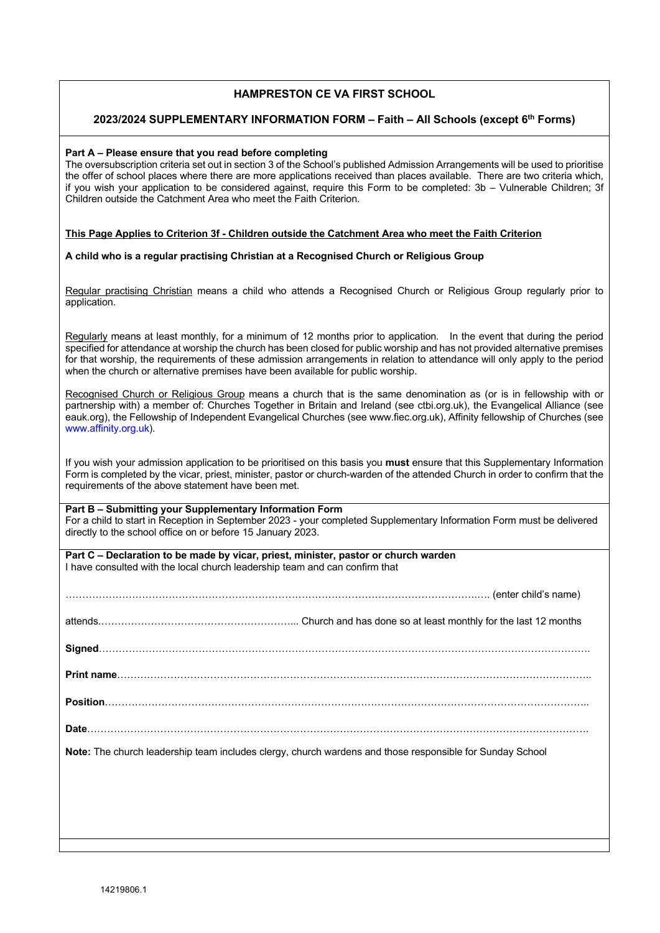# **HAMPRESTON CE VA FIRST SCHOOL**

### **2023/2024 SUPPLEMENTARY INFORMATION FORM – Faith – All Schools (except 6th Forms)**

#### **Part A – Please ensure that you read before completing**

The oversubscription criteria set out in section 3 of the School's published Admission Arrangements will be used to prioritise the offer of school places where there are more applications received than places available. There are two criteria which, if you wish your application to be considered against, require this Form to be completed: 3b – Vulnerable Children; 3f Children outside the Catchment Area who meet the Faith Criterion.

#### **This Page Applies to Criterion 3f - Children outside the Catchment Area who meet the Faith Criterion**

#### **A child who is a regular practising Christian at a Recognised Church or Religious Group**

Regular practising Christian means a child who attends a Recognised Church or Religious Group regularly prior to application.

Regularly means at least monthly, for a minimum of 12 months prior to application*.* In the event that during the period specified for attendance at worship the church has been closed for public worship and has not provided alternative premises for that worship, the requirements of these admission arrangements in relation to attendance will only apply to the period when the church or alternative premises have been available for public worship.

Recognised Church or Religious Group means a church that is the same denomination as (or is in fellowship with or partnership with) a member of: Churches Together in Britain and Ireland (see ctbi.org.uk), the Evangelical Alliance (see eauk.org), the Fellowship of Independent Evangelical Churches (see www.fiec.org.uk), Affinity fellowship of Churches (see www.affinity.org.uk).

If you wish your admission application to be prioritised on this basis you **must** ensure that this Supplementary Information Form is completed by the vicar, priest, minister, pastor or church-warden of the attended Church in order to confirm that the requirements of the above statement have been met.

#### **Part B – Submitting your Supplementary Information Form**

For a child to start in Reception in September 2023 - your completed Supplementary Information Form must be delivered directly to the school office on or before 15 January 2023.

**Part C – Declaration to be made by vicar, priest, minister, pastor or church warden** I have consulted with the local church leadership team and can confirm that

| (enter child's name) (and a state of the child's name)                                                   |  |
|----------------------------------------------------------------------------------------------------------|--|
|                                                                                                          |  |
|                                                                                                          |  |
|                                                                                                          |  |
|                                                                                                          |  |
|                                                                                                          |  |
| Note: The church leadership team includes clergy, church wardens and those responsible for Sunday School |  |
|                                                                                                          |  |